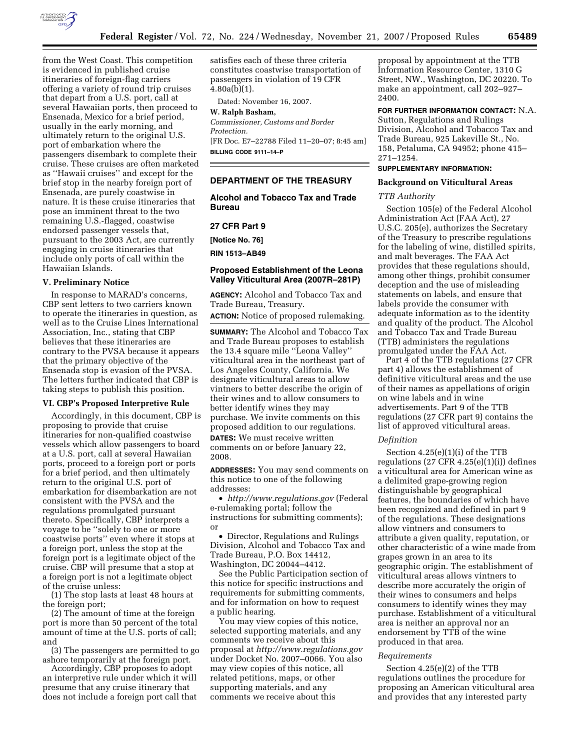

from the West Coast. This competition is evidenced in published cruise itineraries of foreign-flag carriers offering a variety of round trip cruises that depart from a U.S. port, call at several Hawaiian ports, then proceed to Ensenada, Mexico for a brief period, usually in the early morning, and ultimately return to the original U.S. port of embarkation where the passengers disembark to complete their cruise. These cruises are often marketed as ''Hawaii cruises'' and except for the brief stop in the nearby foreign port of Ensenada, are purely coastwise in nature. It is these cruise itineraries that pose an imminent threat to the two remaining U.S.-flagged, coastwise endorsed passenger vessels that, pursuant to the 2003 Act, are currently engaging in cruise itineraries that include only ports of call within the Hawaiian Islands.

## **V. Preliminary Notice**

In response to MARAD's concerns, CBP sent letters to two carriers known to operate the itineraries in question, as well as to the Cruise Lines International Association, Inc., stating that CBP believes that these itineraries are contrary to the PVSA because it appears that the primary objective of the Ensenada stop is evasion of the PVSA. The letters further indicated that CBP is taking steps to publish this position.

#### **VI. CBP's Proposed Interpretive Rule**

Accordingly, in this document, CBP is proposing to provide that cruise itineraries for non-qualified coastwise vessels which allow passengers to board at a U.S. port, call at several Hawaiian ports, proceed to a foreign port or ports for a brief period, and then ultimately return to the original U.S. port of embarkation for disembarkation are not consistent with the PVSA and the regulations promulgated pursuant thereto. Specifically, CBP interprets a voyage to be ''solely to one or more coastwise ports'' even where it stops at a foreign port, unless the stop at the foreign port is a legitimate object of the cruise. CBP will presume that a stop at a foreign port is not a legitimate object of the cruise unless:

(1) The stop lasts at least 48 hours at the foreign port;

(2) The amount of time at the foreign port is more than 50 percent of the total amount of time at the U.S. ports of call; and

(3) The passengers are permitted to go ashore temporarily at the foreign port.

Accordingly, CBP proposes to adopt an interpretive rule under which it will presume that any cruise itinerary that does not include a foreign port call that satisfies each of these three criteria constitutes coastwise transportation of passengers in violation of 19 CFR  $4.80a(b)(1)$ .

Dated: November 16, 2007.

# **W. Ralph Basham,**

*Commissioner, Customs and Border Protection.*  [FR Doc. E7–22788 Filed 11–20–07; 8:45 am] **BILLING CODE 9111–14–P** 

## **DEPARTMENT OF THE TREASURY**

**Alcohol and Tobacco Tax and Trade Bureau** 

# **27 CFR Part 9**

**[Notice No. 76]** 

**RIN 1513–AB49** 

# **Proposed Establishment of the Leona Valley Viticultural Area (2007R–281P)**

**AGENCY:** Alcohol and Tobacco Tax and Trade Bureau, Treasury.

**ACTION:** Notice of proposed rulemaking.

**SUMMARY:** The Alcohol and Tobacco Tax and Trade Bureau proposes to establish the 13.4 square mile ''Leona Valley'' viticultural area in the northeast part of Los Angeles County, California. We designate viticultural areas to allow vintners to better describe the origin of their wines and to allow consumers to better identify wines they may purchase. We invite comments on this proposed addition to our regulations. **DATES:** We must receive written comments on or before January 22, 2008.

**ADDRESSES:** You may send comments on this notice to one of the following addresses:

• *http://www.regulations.gov* (Federal e-rulemaking portal; follow the instructions for submitting comments); or

• Director, Regulations and Rulings Division, Alcohol and Tobacco Tax and Trade Bureau, P.O. Box 14412, Washington, DC 20044–4412.

See the Public Participation section of this notice for specific instructions and requirements for submitting comments, and for information on how to request a public hearing.

You may view copies of this notice, selected supporting materials, and any comments we receive about this proposal at *http://www.regulations.gov*  under Docket No. 2007–0066. You also may view copies of this notice, all related petitions, maps, or other supporting materials, and any comments we receive about this

proposal by appointment at the TTB Information Resource Center, 1310 G Street, NW., Washington, DC 20220. To make an appointment, call 202–927– 2400.

# **FOR FURTHER INFORMATION CONTACT:** N.A.

Sutton, Regulations and Rulings Division, Alcohol and Tobacco Tax and Trade Bureau, 925 Lakeville St., No. 158, Petaluma, CA 94952; phone 415– 271–1254.

# **SUPPLEMENTARY INFORMATION:**

# **Background on Viticultural Areas**

## *TTB Authority*

Section 105(e) of the Federal Alcohol Administration Act (FAA Act), 27 U.S.C. 205(e), authorizes the Secretary of the Treasury to prescribe regulations for the labeling of wine, distilled spirits, and malt beverages. The FAA Act provides that these regulations should, among other things, prohibit consumer deception and the use of misleading statements on labels, and ensure that labels provide the consumer with adequate information as to the identity and quality of the product. The Alcohol and Tobacco Tax and Trade Bureau (TTB) administers the regulations promulgated under the FAA Act.

Part 4 of the TTB regulations (27 CFR part 4) allows the establishment of definitive viticultural areas and the use of their names as appellations of origin on wine labels and in wine advertisements. Part 9 of the TTB regulations (27 CFR part 9) contains the list of approved viticultural areas.

#### *Definition*

Section 4.25(e)(1)(i) of the TTB regulations  $(27 \text{ CFR } 4.25(e)(1)(i))$  defines a viticultural area for American wine as a delimited grape-growing region distinguishable by geographical features, the boundaries of which have been recognized and defined in part 9 of the regulations. These designations allow vintners and consumers to attribute a given quality, reputation, or other characteristic of a wine made from grapes grown in an area to its geographic origin. The establishment of viticultural areas allows vintners to describe more accurately the origin of their wines to consumers and helps consumers to identify wines they may purchase. Establishment of a viticultural area is neither an approval nor an endorsement by TTB of the wine produced in that area.

#### *Requirements*

Section 4.25(e)(2) of the TTB regulations outlines the procedure for proposing an American viticultural area and provides that any interested party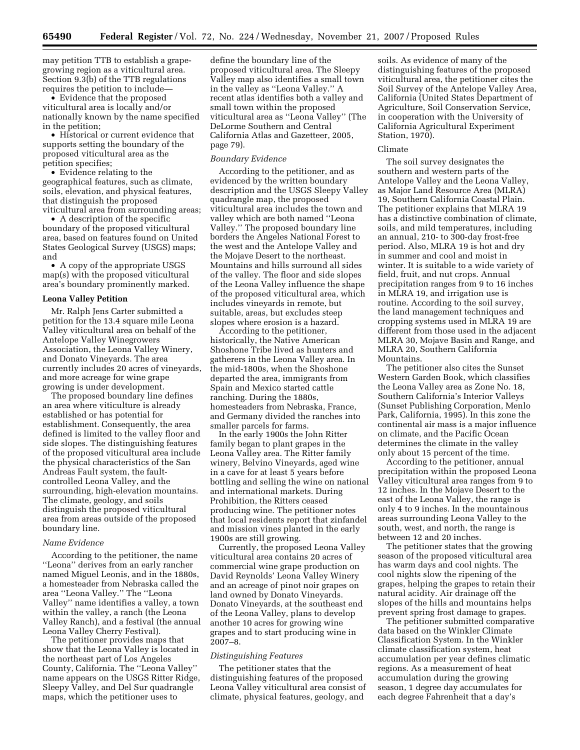may petition TTB to establish a grapegrowing region as a viticultural area. Section 9.3(b) of the TTB regulations requires the petition to include—

• Evidence that the proposed viticultural area is locally and/or nationally known by the name specified in the petition;

• Historical or current evidence that supports setting the boundary of the proposed viticultural area as the petition specifies;

• Evidence relating to the geographical features, such as climate, soils, elevation, and physical features, that distinguish the proposed viticultural area from surrounding areas;

• A description of the specific boundary of the proposed viticultural area, based on features found on United States Geological Survey (USGS) maps; and

• A copy of the appropriate USGS map(s) with the proposed viticultural area's boundary prominently marked.

#### **Leona Valley Petition**

Mr. Ralph Jens Carter submitted a petition for the 13.4 square mile Leona Valley viticultural area on behalf of the Antelope Valley Winegrowers Association, the Leona Valley Winery, and Donato Vineyards. The area currently includes 20 acres of vineyards, and more acreage for wine grape growing is under development.

The proposed boundary line defines an area where viticulture is already established or has potential for establishment. Consequently, the area defined is limited to the valley floor and side slopes. The distinguishing features of the proposed viticultural area include the physical characteristics of the San Andreas Fault system, the faultcontrolled Leona Valley, and the surrounding, high-elevation mountains. The climate, geology, and soils distinguish the proposed viticultural area from areas outside of the proposed boundary line.

## *Name Evidence*

According to the petitioner, the name ''Leona'' derives from an early rancher named Miguel Leonis, and in the 1880s, a homesteader from Nebraska called the area ''Leona Valley.'' The ''Leona Valley'' name identifies a valley, a town within the valley, a ranch (the Leona Valley Ranch), and a festival (the annual Leona Valley Cherry Festival).

The petitioner provides maps that show that the Leona Valley is located in the northeast part of Los Angeles County, California. The ''Leona Valley'' name appears on the USGS Ritter Ridge, Sleepy Valley, and Del Sur quadrangle maps, which the petitioner uses to

define the boundary line of the proposed viticultural area. The Sleepy Valley map also identifies a small town in the valley as ''Leona Valley.'' A recent atlas identifies both a valley and small town within the proposed viticultural area as ''Leona Valley'' (The DeLorme Southern and Central California Atlas and Gazetteer, 2005, page 79).

#### *Boundary Evidence*

According to the petitioner, and as evidenced by the written boundary description and the USGS Sleepy Valley quadrangle map, the proposed viticultural area includes the town and valley which are both named ''Leona Valley.'' The proposed boundary line borders the Angeles National Forest to the west and the Antelope Valley and the Mojave Desert to the northeast. Mountains and hills surround all sides of the valley. The floor and side slopes of the Leona Valley influence the shape of the proposed viticultural area, which includes vineyards in remote, but suitable, areas, but excludes steep slopes where erosion is a hazard.

According to the petitioner, historically, the Native American Shoshone Tribe lived as hunters and gatherers in the Leona Valley area. In the mid-1800s, when the Shoshone departed the area, immigrants from Spain and Mexico started cattle ranching. During the 1880s, homesteaders from Nebraska, France, and Germany divided the ranches into smaller parcels for farms.

In the early 1900s the John Ritter family began to plant grapes in the Leona Valley area. The Ritter family winery, Belvino Vineyards, aged wine in a cave for at least 5 years before bottling and selling the wine on national and international markets. During Prohibition, the Ritters ceased producing wine. The petitioner notes that local residents report that zinfandel and mission vines planted in the early 1900s are still growing.

Currently, the proposed Leona Valley viticultural area contains 20 acres of commercial wine grape production on David Reynolds' Leona Valley Winery and an acreage of pinot noir grapes on land owned by Donato Vineyards. Donato Vineyards, at the southeast end of the Leona Valley, plans to develop another 10 acres for growing wine grapes and to start producing wine in 2007–8.

#### *Distinguishing Features*

The petitioner states that the distinguishing features of the proposed Leona Valley viticultural area consist of climate, physical features, geology, and

soils. As evidence of many of the distinguishing features of the proposed viticultural area, the petitioner cites the Soil Survey of the Antelope Valley Area, California (United States Department of Agriculture, Soil Conservation Service, in cooperation with the University of California Agricultural Experiment Station, 1970).

## Climate

The soil survey designates the southern and western parts of the Antelope Valley and the Leona Valley, as Major Land Resource Area (MLRA) 19, Southern California Coastal Plain. The petitioner explains that MLRA 19 has a distinctive combination of climate, soils, and mild temperatures, including an annual, 210- to 300-day frost-free period. Also, MLRA 19 is hot and dry in summer and cool and moist in winter. It is suitable to a wide variety of field, fruit, and nut crops. Annual precipitation ranges from 9 to 16 inches in MLRA 19, and irrigation use is routine. According to the soil survey, the land management techniques and cropping systems used in MLRA 19 are different from those used in the adjacent MLRA 30, Mojave Basin and Range, and MLRA 20, Southern California Mountains.

The petitioner also cites the Sunset Western Garden Book, which classifies the Leona Valley area as Zone No. 18, Southern California's Interior Valleys (Sunset Publishing Corporation, Menlo Park, California, 1995). In this zone the continental air mass is a major influence on climate, and the Pacific Ocean determines the climate in the valley only about 15 percent of the time.

According to the petitioner, annual precipitation within the proposed Leona Valley viticultural area ranges from 9 to 12 inches. In the Mojave Desert to the east of the Leona Valley, the range is only 4 to 9 inches. In the mountainous areas surrounding Leona Valley to the south, west, and north, the range is between 12 and 20 inches.

The petitioner states that the growing season of the proposed viticultural area has warm days and cool nights. The cool nights slow the ripening of the grapes, helping the grapes to retain their natural acidity. Air drainage off the slopes of the hills and mountains helps prevent spring frost damage to grapes.

The petitioner submitted comparative data based on the Winkler Climate Classification System. In the Winkler climate classification system, heat accumulation per year defines climatic regions. As a measurement of heat accumulation during the growing season, 1 degree day accumulates for each degree Fahrenheit that a day's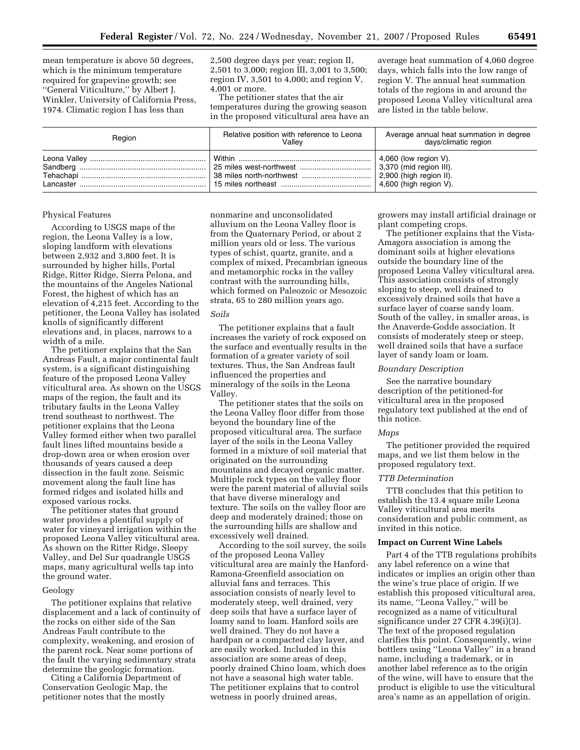mean temperature is above 50 degrees, which is the minimum temperature required for grapevine growth; see ''General Viticulture,'' by Albert J. Winkler, University of California Press, 1974. Climatic region I has less than

2,500 degree days per year; region II, 2,501 to 3,000; region III, 3,001 to 3,500; region IV, 3,501 to 4,000; and region V, 4,001 or more.

The petitioner states that the air temperatures during the growing season in the proposed viticultural area have an

average heat summation of 4,060 degree days, which falls into the low range of region V. The annual heat summation totals of the regions in and around the proposed Leona Valley viticultural area are listed in the table below.

| Region | Relative position with reference to Leona<br>Vallev | Average annual heat summation in degree<br>days/climatic region                                    |
|--------|-----------------------------------------------------|----------------------------------------------------------------------------------------------------|
|        |                                                     | $\vert$ 4,060 (low region V).<br>$\vert$ 2,900 (high region II).<br>$\vert$ 4,600 (high region V). |

## Physical Features

According to USGS maps of the region, the Leona Valley is a low, sloping landform with elevations between 2,932 and 3,800 feet. It is surrounded by higher hills, Portal Ridge, Ritter Ridge, Sierra Pelona, and the mountains of the Angeles National Forest, the highest of which has an elevation of 4,215 feet. According to the petitioner, the Leona Valley has isolated knolls of significantly different elevations and, in places, narrows to a width of a mile.

The petitioner explains that the San Andreas Fault, a major continental fault system, is a significant distinguishing feature of the proposed Leona Valley viticultural area. As shown on the USGS maps of the region, the fault and its tributary faults in the Leona Valley trend southeast to northwest. The petitioner explains that the Leona Valley formed either when two parallel fault lines lifted mountains beside a drop-down area or when erosion over thousands of years caused a deep dissection in the fault zone. Seismic movement along the fault line has formed ridges and isolated hills and exposed various rocks.

The petitioner states that ground water provides a plentiful supply of water for vineyard irrigation within the proposed Leona Valley viticultural area. As shown on the Ritter Ridge, Sleepy Valley, and Del Sur quadrangle USGS maps, many agricultural wells tap into the ground water.

#### Geology

The petitioner explains that relative displacement and a lack of continuity of the rocks on either side of the San Andreas Fault contribute to the complexity, weakening, and erosion of the parent rock. Near some portions of the fault the varying sedimentary strata determine the geologic formation.

Citing a California Department of Conservation Geologic Map, the petitioner notes that the mostly

nonmarine and unconsolidated alluvium on the Leona Valley floor is from the Quaternary Period, or about 2 million years old or less. The various types of schist, quartz, granite, and a complex of mixed, Precambrian igneous and metamorphic rocks in the valley contrast with the surrounding hills, which formed on Paleozoic or Mesozoic strata, 65 to 280 million years ago.

# *Soils*

The petitioner explains that a fault increases the variety of rock exposed on the surface and eventually results in the formation of a greater variety of soil textures. Thus, the San Andreas fault influenced the properties and mineralogy of the soils in the Leona Valley.

The petitioner states that the soils on the Leona Valley floor differ from those beyond the boundary line of the proposed viticultural area. The surface layer of the soils in the Leona Valley formed in a mixture of soil material that originated on the surrounding mountains and decayed organic matter. Multiple rock types on the valley floor were the parent material of alluvial soils that have diverse mineralogy and texture. The soils on the valley floor are deep and moderately drained; those on the surrounding hills are shallow and excessively well drained.

According to the soil survey, the soils of the proposed Leona Valley viticultural area are mainly the Hanford-Ramona-Greenfield association on alluvial fans and terraces. This association consists of nearly level to moderately steep, well drained, very deep soils that have a surface layer of loamy sand to loam. Hanford soils are well drained. They do not have a hardpan or a compacted clay layer, and are easily worked. Included in this association are some areas of deep, poorly drained Chino loam, which does not have a seasonal high water table. The petitioner explains that to control wetness in poorly drained areas,

growers may install artificial drainage or plant competing crops.

The petitioner explains that the Vista-Amagora association is among the dominant soils at higher elevations outside the boundary line of the proposed Leona Valley viticultural area. This association consists of strongly sloping to steep, well drained to excessively drained soils that have a surface layer of coarse sandy loam. South of the valley, in smaller areas, is the Anaverde-Godde association. It consists of moderately steep or steep, well drained soils that have a surface layer of sandy loam or loam.

## *Boundary Description*

See the narrative boundary description of the petitioned-for viticultural area in the proposed regulatory text published at the end of this notice.

#### *Maps*

The petitioner provided the required maps, and we list them below in the proposed regulatory text.

#### *TTB Determination*

TTB concludes that this petition to establish the 13.4 square mile Leona Valley viticultural area merits consideration and public comment, as invited in this notice.

## **Impact on Current Wine Labels**

Part 4 of the TTB regulations prohibits any label reference on a wine that indicates or implies an origin other than the wine's true place of origin. If we establish this proposed viticultural area, its name, ''Leona Valley,'' will be recognized as a name of viticultural significance under 27 CFR 4.39(i)(3). The text of the proposed regulation clarifies this point. Consequently, wine bottlers using ''Leona Valley'' in a brand name, including a trademark, or in another label reference as to the origin of the wine, will have to ensure that the product is eligible to use the viticultural area's name as an appellation of origin.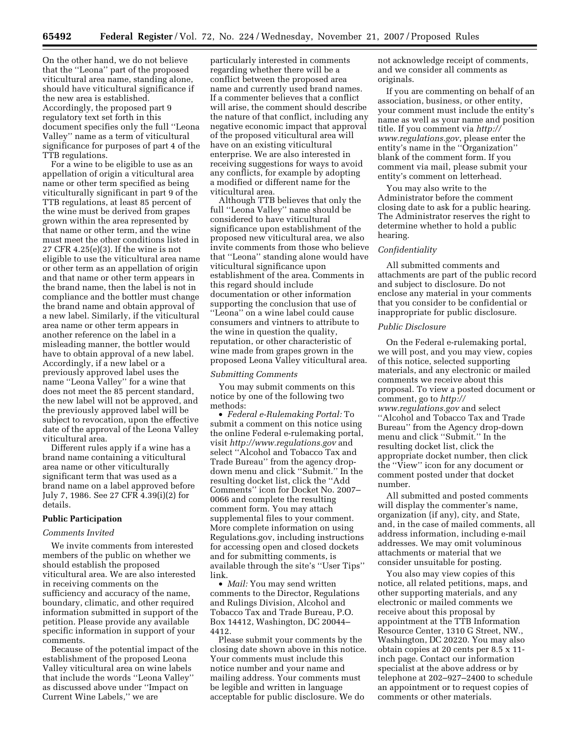On the other hand, we do not believe that the ''Leona'' part of the proposed viticultural area name, standing alone, should have viticultural significance if the new area is established. Accordingly, the proposed part 9 regulatory text set forth in this document specifies only the full ''Leona Valley'' name as a term of viticultural significance for purposes of part 4 of the TTB regulations.

For a wine to be eligible to use as an appellation of origin a viticultural area name or other term specified as being viticulturally significant in part 9 of the TTB regulations, at least 85 percent of the wine must be derived from grapes grown within the area represented by that name or other term, and the wine must meet the other conditions listed in 27 CFR 4.25(e)(3). If the wine is not eligible to use the viticultural area name or other term as an appellation of origin and that name or other term appears in the brand name, then the label is not in compliance and the bottler must change the brand name and obtain approval of a new label. Similarly, if the viticultural area name or other term appears in another reference on the label in a misleading manner, the bottler would have to obtain approval of a new label. Accordingly, if a new label or a previously approved label uses the name ''Leona Valley'' for a wine that does not meet the 85 percent standard, the new label will not be approved, and the previously approved label will be subject to revocation, upon the effective date of the approval of the Leona Valley viticultural area.

Different rules apply if a wine has a brand name containing a viticultural area name or other viticulturally significant term that was used as a brand name on a label approved before July 7, 1986. See 27 CFR 4.39(i)(2) for details.

## **Public Participation**

## *Comments Invited*

We invite comments from interested members of the public on whether we should establish the proposed viticultural area. We are also interested in receiving comments on the sufficiency and accuracy of the name, boundary, climatic, and other required information submitted in support of the petition. Please provide any available specific information in support of your comments.

Because of the potential impact of the establishment of the proposed Leona Valley viticultural area on wine labels that include the words ''Leona Valley'' as discussed above under ''Impact on Current Wine Labels,'' we are

particularly interested in comments regarding whether there will be a conflict between the proposed area name and currently used brand names. If a commenter believes that a conflict will arise, the comment should describe the nature of that conflict, including any negative economic impact that approval of the proposed viticultural area will have on an existing viticultural enterprise. We are also interested in receiving suggestions for ways to avoid any conflicts, for example by adopting a modified or different name for the viticultural area.

Although TTB believes that only the full ''Leona Valley'' name should be considered to have viticultural significance upon establishment of the proposed new viticultural area, we also invite comments from those who believe that ''Leona'' standing alone would have viticultural significance upon establishment of the area. Comments in this regard should include documentation or other information supporting the conclusion that use of ''Leona'' on a wine label could cause consumers and vintners to attribute to the wine in question the quality, reputation, or other characteristic of wine made from grapes grown in the proposed Leona Valley viticultural area.

## *Submitting Comments*

You may submit comments on this notice by one of the following two methods:

• *Federal e-Rulemaking Portal:* To submit a comment on this notice using the online Federal e-rulemaking portal, visit *http://www.regulations.gov* and select ''Alcohol and Tobacco Tax and Trade Bureau'' from the agency dropdown menu and click ''Submit.'' In the resulting docket list, click the ''Add Comments'' icon for Docket No. 2007– 0066 and complete the resulting comment form. You may attach supplemental files to your comment. More complete information on using Regulations.gov, including instructions for accessing open and closed dockets and for submitting comments, is available through the site's ''User Tips'' link.

• *Mail:* You may send written comments to the Director, Regulations and Rulings Division, Alcohol and Tobacco Tax and Trade Bureau, P.O. Box 14412, Washington, DC 20044– 4412.

Please submit your comments by the closing date shown above in this notice. Your comments must include this notice number and your name and mailing address. Your comments must be legible and written in language acceptable for public disclosure. We do

not acknowledge receipt of comments, and we consider all comments as originals.

If you are commenting on behalf of an association, business, or other entity, your comment must include the entity's name as well as your name and position title. If you comment via *http:// www.regulations.gov*, please enter the entity's name in the ''Organization'' blank of the comment form. If you comment via mail, please submit your entity's comment on letterhead.

You may also write to the Administrator before the comment closing date to ask for a public hearing. The Administrator reserves the right to determine whether to hold a public hearing.

## *Confidentiality*

All submitted comments and attachments are part of the public record and subject to disclosure. Do not enclose any material in your comments that you consider to be confidential or inappropriate for public disclosure.

## *Public Disclosure*

On the Federal e-rulemaking portal, we will post, and you may view, copies of this notice, selected supporting materials, and any electronic or mailed comments we receive about this proposal. To view a posted document or comment, go to *http:// www.regulations.gov* and select ''Alcohol and Tobacco Tax and Trade Bureau'' from the Agency drop-down menu and click ''Submit.'' In the resulting docket list, click the appropriate docket number, then click the ''View'' icon for any document or comment posted under that docket number.

All submitted and posted comments will display the commenter's name, organization (if any), city, and State, and, in the case of mailed comments, all address information, including e-mail addresses. We may omit voluminous attachments or material that we consider unsuitable for posting.

You also may view copies of this notice, all related petitions, maps, and other supporting materials, and any electronic or mailed comments we receive about this proposal by appointment at the TTB Information Resource Center, 1310 G Street, NW., Washington, DC 20220. You may also obtain copies at 20 cents per 8.5 x 11 inch page. Contact our information specialist at the above address or by telephone at 202–927–2400 to schedule an appointment or to request copies of comments or other materials.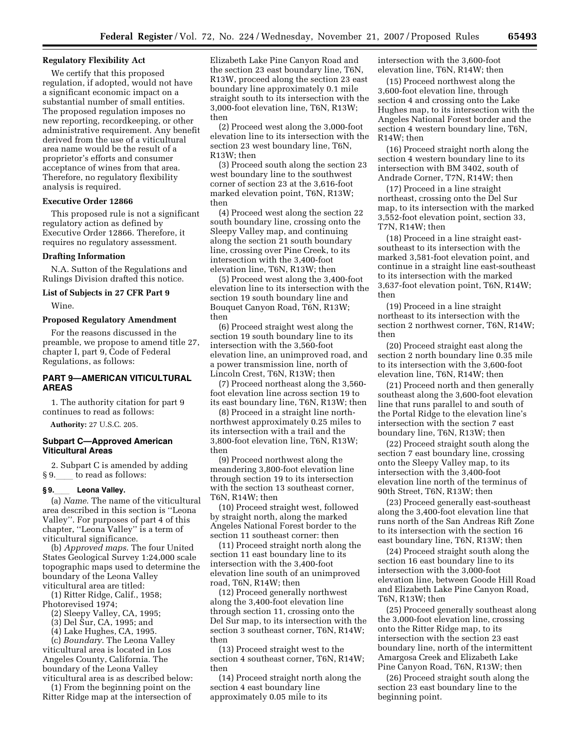## **Regulatory Flexibility Act**

We certify that this proposed regulation, if adopted, would not have a significant economic impact on a substantial number of small entities. The proposed regulation imposes no new reporting, recordkeeping, or other administrative requirement. Any benefit derived from the use of a viticultural area name would be the result of a proprietor's efforts and consumer acceptance of wines from that area. Therefore, no regulatory flexibility analysis is required.

# **Executive Order 12866**

This proposed rule is not a significant regulatory action as defined by Executive Order 12866. Therefore, it requires no regulatory assessment.

#### **Drafting Information**

N.A. Sutton of the Regulations and Rulings Division drafted this notice.

## **List of Subjects in 27 CFR Part 9**

Wine.

## **Proposed Regulatory Amendment**

For the reasons discussed in the preamble, we propose to amend title 27, chapter I, part 9, Code of Federal Regulations, as follows:

# **PART 9—AMERICAN VITICULTURAL AREAS**

1. The authority citation for part 9 continues to read as follows: **Authority:** 27 U.S.C. 205.

## **Subpart C—Approved American Viticultural Areas**

2. Subpart C is amended by adding  $§ 9.$  to read as follows:<br>§9. Leona Valley.

**§ 9.**ll **Leona Valley.**  (a) *Name*. The name of the viticultural area described in this section is ''Leona Valley''. For purposes of part 4 of this chapter, ''Leona Valley'' is a term of viticultural significance.

(b) *Approved maps*. The four United States Geological Survey 1:24,000 scale topographic maps used to determine the boundary of the Leona Valley viticultural area are titled:

(1) Ritter Ridge, Calif., 1958;

Photorevised 1974;

(2) Sleepy Valley, CA, 1995;

(3) Del Sur, CA, 1995; and

(4) Lake Hughes, CA, 1995.

(c) *Boundary*. The Leona Valley viticultural area is located in Los Angeles County, California. The boundary of the Leona Valley viticultural area is as described below:

(1) From the beginning point on the Ritter Ridge map at the intersection of Elizabeth Lake Pine Canyon Road and the section 23 east boundary line, T6N, R13W, proceed along the section 23 east boundary line approximately 0.1 mile straight south to its intersection with the 3,000-foot elevation line, T6N, R13W; then

(2) Proceed west along the 3,000-foot elevation line to its intersection with the section 23 west boundary line, T6N, R13W; then

(3) Proceed south along the section 23 west boundary line to the southwest corner of section 23 at the 3,616-foot marked elevation point, T6N, R13W; then

(4) Proceed west along the section 22 south boundary line, crossing onto the Sleepy Valley map, and continuing along the section 21 south boundary line, crossing over Pine Creek, to its intersection with the 3,400-foot elevation line, T6N, R13W; then

(5) Proceed west along the 3,400-foot elevation line to its intersection with the section 19 south boundary line and Bouquet Canyon Road, T6N, R13W; then

(6) Proceed straight west along the section 19 south boundary line to its intersection with the 3,560-foot elevation line, an unimproved road, and a power transmission line, north of Lincoln Crest, T6N, R13W; then

(7) Proceed northeast along the 3,560 foot elevation line across section 19 to its east boundary line, T6N, R13W; then

(8) Proceed in a straight line northnorthwest approximately 0.25 miles to its intersection with a trail and the 3,800-foot elevation line, T6N, R13W; then

(9) Proceed northwest along the meandering 3,800-foot elevation line through section 19 to its intersection with the section 13 southeast corner, T6N, R14W; then

(10) Proceed straight west, followed by straight north, along the marked Angeles National Forest border to the section 11 southeast corner: then

(11) Proceed straight north along the section 11 east boundary line to its intersection with the 3,400-foot elevation line south of an unimproved road, T6N, R14W; then

(12) Proceed generally northwest along the 3,400-foot elevation line through section 11, crossing onto the Del Sur map, to its intersection with the section 3 southeast corner, T6N, R14W; then

(13) Proceed straight west to the section 4 southeast corner, T6N, R14W; then

(14) Proceed straight north along the section 4 east boundary line approximately 0.05 mile to its

intersection with the 3,600-foot elevation line, T6N, R14W; then

(15) Proceed northwest along the 3,600-foot elevation line, through section 4 and crossing onto the Lake Hughes map, to its intersection with the Angeles National Forest border and the section 4 western boundary line, T6N, R14W; then

(16) Proceed straight north along the section 4 western boundary line to its intersection with BM 3402, south of Andrade Corner, T7N, R14W; then

(17) Proceed in a line straight northeast, crossing onto the Del Sur map, to its intersection with the marked 3,552-foot elevation point, section 33, T7N, R14W; then

(18) Proceed in a line straight eastsoutheast to its intersection with the marked 3,581-foot elevation point, and continue in a straight line east-southeast to its intersection with the marked 3,637-foot elevation point, T6N, R14W; then

(19) Proceed in a line straight northeast to its intersection with the section 2 northwest corner, T6N, R14W; then

(20) Proceed straight east along the section 2 north boundary line 0.35 mile to its intersection with the 3,600-foot elevation line, T6N, R14W; then

(21) Proceed north and then generally southeast along the 3,600-foot elevation line that runs parallel to and south of the Portal Ridge to the elevation line's intersection with the section 7 east boundary line, T6N, R13W; then

(22) Proceed straight south along the section 7 east boundary line, crossing onto the Sleepy Valley map, to its intersection with the 3,400-foot elevation line north of the terminus of 90th Street, T6N, R13W; then

(23) Proceed generally east-southeast along the 3,400-foot elevation line that runs north of the San Andreas Rift Zone to its intersection with the section 16 east boundary line, T6N, R13W; then

(24) Proceed straight south along the section 16 east boundary line to its intersection with the 3,000-foot elevation line, between Goode Hill Road and Elizabeth Lake Pine Canyon Road, T6N, R13W; then

(25) Proceed generally southeast along the 3,000-foot elevation line, crossing onto the Ritter Ridge map, to its intersection with the section 23 east boundary line, north of the intermittent Amargosa Creek and Elizabeth Lake Pine Canyon Road, T6N, R13W; then

(26) Proceed straight south along the section 23 east boundary line to the beginning point.